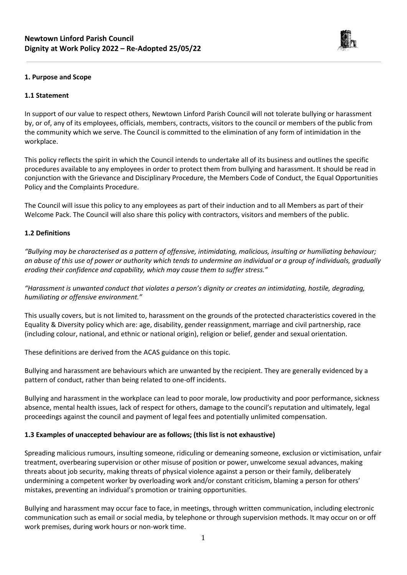

### **1. Purpose and Scope**

#### **1.1 Statement**

In support of our value to respect others, Newtown Linford Parish Council will not tolerate bullying or harassment by, or of, any of its employees, officials, members, contracts, visitors to the council or members of the public from the community which we serve. The Council is committed to the elimination of any form of intimidation in the workplace.

This policy reflects the spirit in which the Council intends to undertake all of its business and outlines the specific procedures available to any employees in order to protect them from bullying and harassment. It should be read in conjunction with the Grievance and Disciplinary Procedure, the Members Code of Conduct, the Equal Opportunities Policy and the Complaints Procedure.

The Council will issue this policy to any employees as part of their induction and to all Members as part of their Welcome Pack. The Council will also share this policy with contractors, visitors and members of the public.

#### **1.2 Definitions**

*"Bullying may be characterised as a pattern of offensive, intimidating, malicious, insulting or humiliating behaviour; an abuse of this use of power or authority which tends to undermine an individual or a group of individuals, gradually eroding their confidence and capability, which may cause them to suffer stress."*

*"Harassment is unwanted conduct that violates a person's dignity or creates an intimidating, hostile, degrading, humiliating or offensive environment."*

This usually covers, but is not limited to, harassment on the grounds of the protected characteristics covered in the Equality & Diversity policy which are: age, disability, gender reassignment, marriage and civil partnership, race (including colour, national, and ethnic or national origin), religion or belief, gender and sexual orientation.

These definitions are derived from the ACAS guidance on this topic.

Bullying and harassment are behaviours which are unwanted by the recipient. They are generally evidenced by a pattern of conduct, rather than being related to one-off incidents.

Bullying and harassment in the workplace can lead to poor morale, low productivity and poor performance, sickness absence, mental health issues, lack of respect for others, damage to the council's reputation and ultimately, legal proceedings against the council and payment of legal fees and potentially unlimited compensation.

#### **1.3 Examples of unaccepted behaviour are as follows; (this list is not exhaustive)**

Spreading malicious rumours, insulting someone, ridiculing or demeaning someone, exclusion or victimisation, unfair treatment, overbearing supervision or other misuse of position or power, unwelcome sexual advances, making threats about job security, making threats of physical violence against a person or their family, deliberately undermining a competent worker by overloading work and/or constant criticism, blaming a person for others' mistakes, preventing an individual's promotion or training opportunities.

Bullying and harassment may occur face to face, in meetings, through written communication, including electronic communication such as email or social media, by telephone or through supervision methods. It may occur on or off work premises, during work hours or non-work time.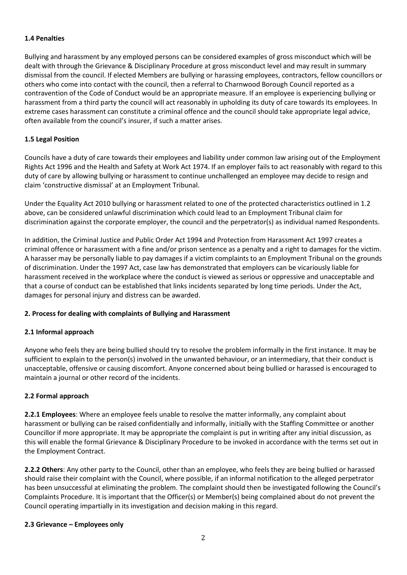### **1.4 Penalties**

Bullying and harassment by any employed persons can be considered examples of gross misconduct which will be dealt with through the Grievance & Disciplinary Procedure at gross misconduct level and may result in summary dismissal from the council. If elected Members are bullying or harassing employees, contractors, fellow councillors or others who come into contact with the council, then a referral to Charnwood Borough Council reported as a contravention of the Code of Conduct would be an appropriate measure. If an employee is experiencing bullying or harassment from a third party the council will act reasonably in upholding its duty of care towards its employees. In extreme cases harassment can constitute a criminal offence and the council should take appropriate legal advice, often available from the council's insurer, if such a matter arises.

# **1.5 Legal Position**

Councils have a duty of care towards their employees and liability under common law arising out of the Employment Rights Act 1996 and the Health and Safety at Work Act 1974. If an employer fails to act reasonably with regard to this duty of care by allowing bullying or harassment to continue unchallenged an employee may decide to resign and claim 'constructive dismissal' at an Employment Tribunal.

Under the Equality Act 2010 bullying or harassment related to one of the protected characteristics outlined in 1.2 above, can be considered unlawful discrimination which could lead to an Employment Tribunal claim for discrimination against the corporate employer, the council and the perpetrator(s) as individual named Respondents.

In addition, the Criminal Justice and Public Order Act 1994 and Protection from Harassment Act 1997 creates a criminal offence or harassment with a fine and/or prison sentence as a penalty and a right to damages for the victim. A harasser may be personally liable to pay damages if a victim complaints to an Employment Tribunal on the grounds of discrimination. Under the 1997 Act, case law has demonstrated that employers can be vicariously liable for harassment received in the workplace where the conduct is viewed as serious or oppressive and unacceptable and that a course of conduct can be established that links incidents separated by long time periods. Under the Act, damages for personal injury and distress can be awarded.

#### **2. Process for dealing with complaints of Bullying and Harassment**

# **2.1 Informal approach**

Anyone who feels they are being bullied should try to resolve the problem informally in the first instance. It may be sufficient to explain to the person(s) involved in the unwanted behaviour, or an intermediary, that their conduct is unacceptable, offensive or causing discomfort. Anyone concerned about being bullied or harassed is encouraged to maintain a journal or other record of the incidents.

# **2.2 Formal approach**

**2.2.1 Employees**: Where an employee feels unable to resolve the matter informally, any complaint about harassment or bullying can be raised confidentially and informally, initially with the Staffing Committee or another Councillor if more appropriate. It may be appropriate the complaint is put in writing after any initial discussion, as this will enable the formal Grievance & Disciplinary Procedure to be invoked in accordance with the terms set out in the Employment Contract.

**2.2.2 Others**: Any other party to the Council, other than an employee, who feels they are being bullied or harassed should raise their complaint with the Council, where possible, if an informal notification to the alleged perpetrator has been unsuccessful at eliminating the problem. The complaint should then be investigated following the Council's Complaints Procedure. It is important that the Officer(s) or Member(s) being complained about do not prevent the Council operating impartially in its investigation and decision making in this regard.

#### **2.3 Grievance – Employees only**